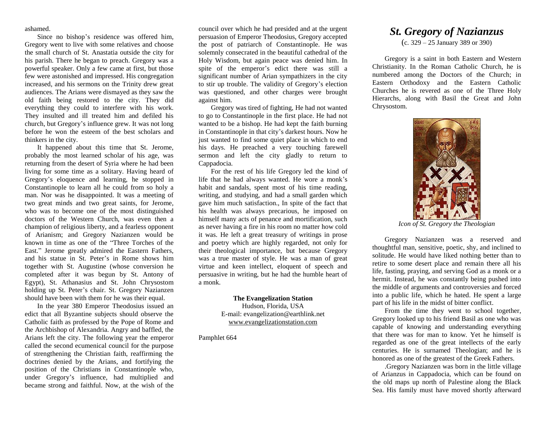ashamed.

Since no bishop's residence was offered him, Gregory went to live with some relatives and choose the small church of St. Anastatia outside the city for his parish. There he began to preach. Gregory was a powerful speaker. Only a few came at first, but those few were astonished and impressed. His congregation increased, and his sermons on the Trinity drew great audiences. The Arians were dismayed as they saw the old faith being restored to the city. They did everything they could to interfere with his work. They insulted and ill treated him and defiled his church, but Gregory's influence grew. It was not long before he won the esteem of the best scholars and thinkers in the city.

It happened about this time that St. Jerome, probably the most learned scholar of his age, was returning from the desert of Syria where he had been living for some time as a solitary. Having heard of Gregory's eloquence and learning, he stopped in Constantinople to learn all he could from so holy a man. Nor was he disappointed. It was a meeting of two great minds and two great saints, for Jerome, who was to become one of the most distinguished doctors of the Western Church, was even then a champion of religious liberty, and a fearless opponent of Arianism; and Gregory Nazianzen would be known in time as one of the "Three Torches of the East." Jerome greatly admired the Eastern Fathers, and his statue in St. Peter's in Rome shows him together with St. Augustine (whose conversion he completed after it was begun by St. Antony of Egypt), St. Athanasius and St. John Chrysostom holding up St. Peter's chair. St. Gregory Nazianzen should have been with them for he was their equal.

In the year 380 Emperor Theodosius issued an edict that all Byzantine subjects should observe the Catholic faith as professed by the Pope of Rome and the Archbishop of Alexandria. Angry and baffled, the Arians left the city. The following year the emperor called the second ecumenical council for the purpose of strengthening the Christian faith, reaffirming the doctrines denied by the Arians, and fortifying the position of the Christians in Constantinople who, under Gregory's influence, had multiplied and became strong and faithful. Now, at the wish of the

council over which he had presided and at the urgent persuasion of Emperor Theodosius, Gregory accepted the post of patriarch of Constantinople. He was solemnly consecrated in the beautiful cathedral of the Holy Wisdom, but again peace was denied him. In spite of the emperor's edict there was still a significant number of Arian sympathizers in the city to stir up trouble. The validity of Gregory's election was questioned, and other charges were brought against him.

Gregory was tired of fighting, He had not wanted to go to Constantinople in the first place. He had not wanted to be a bishop. He had kept the faith burning in Constantinople in that city's darkest hours. Now he just wanted to find some quiet place in which to end his days. He preached a very touching farewell sermon and left the city gladly to return to Cappadocia.

For the rest of his life Gregory led the kind of life that he had always wanted. He wore a monk's habit and sandals, spent most of his time reading, writing, and studying, and had a small garden which gave him much satisfaction., In spite of the fact that his health was always precarious, he imposed on himself many acts of penance and mortification, such as never having a fire in his room no matter how cold it was. He left a great treasury of writings in prose and poetry which are highly regarded, not only for their theological importance, but because Gregory was a true master of style. He was a man of great virtue and keen intellect, eloquent of speech and persuasive in writing, but he had the humble heart of a monk.

## **The Evangelization Station**

Hudson, Florida, USA E-mail: evangelization@earthlink.net [www.evangelizationstation.com](http://www.pjpiisoe.org/)

Pamphlet 664

## *St. Gregory of Nazianzus*

(c. 329 – 25 January 389 or 390)

Gregory is a saint in both Eastern and Western Christianity. In the Roman Catholic Church, he is numbered among the Doctors of the Church; in Eastern Orthodoxy and the Eastern Catholic Churches he is revered as one of the Three Holy Hierarchs, along with Basil the Great and John Chrysostom.



*Icon of St. Gregory the Theologian*

Gregory Nazianzen was a reserved and thoughtful man, sensitive, poetic, shy, and inclined to solitude. He would have liked nothing better than to retire to some desert place and remain there all his life, fasting, praying, and serving God as a monk or a hermit. Instead, he was constantly being pushed into the middle of arguments and controversies and forced into a public life, which he hated. He spent a large part of his life in the midst of bitter conflict.

From the time they went to school together, Gregory looked up to his friend Basil as one who was capable of knowing and understanding everything that there was for man to know. Yet he himself is regarded as one of the great intellects of the early centuries. He is surnamed Theologian; and he is honored as one of the greatest of the Greek Fathers.

.Gregory Nazianzen was born in the little village of Arianzus in Cappadocia, which can be found on the old maps up north of Palestine along the Black Sea. His family must have moved shortly afterward